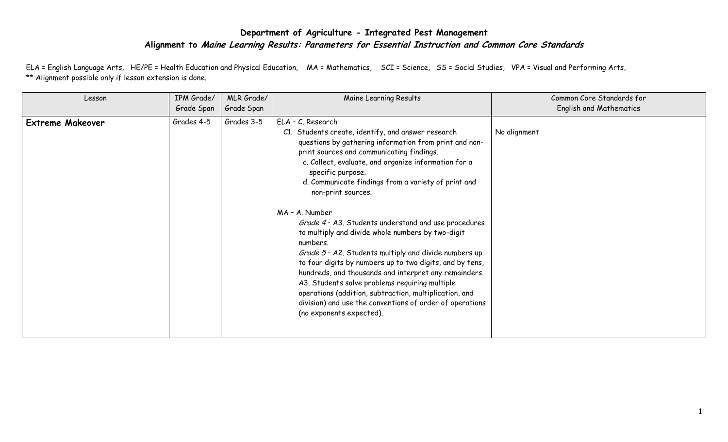## **Department of Agriculture - Integrated Pest Management Alignment to Maine Learning Results: Parameters for Essential Instruction and Common Core Standards**

ELA = English Language Arts, HE/PE = Health Education and Physical Education, MA = Mathematics, SCI = Science, SS = Social Studies, VPA = Visual and Performing Arts, \*\* Alignment possible only if lesson extension is done.

| Lesson                  | IPM Grade/<br>Grade Span | MLR Grade/<br>Grade Span | Maine Learning Results                                                                                                                                                                                                                                                                                                                                                                                                                                                                                                                                                                                                                                                                                                                                                                                                                                                | Common Core Standards for<br><b>English and Mathematics</b> |
|-------------------------|--------------------------|--------------------------|-----------------------------------------------------------------------------------------------------------------------------------------------------------------------------------------------------------------------------------------------------------------------------------------------------------------------------------------------------------------------------------------------------------------------------------------------------------------------------------------------------------------------------------------------------------------------------------------------------------------------------------------------------------------------------------------------------------------------------------------------------------------------------------------------------------------------------------------------------------------------|-------------------------------------------------------------|
| <b>Extreme Makeover</b> | Grades 4-5               | Grades 3-5               | ELA - C. Research<br>C1. Students create, identify, and answer research<br>questions by gathering information from print and non-<br>print sources and communicating findings.<br>c. Collect, evaluate, and organize information for a<br>specific purpose.<br>d. Communicate findings from a variety of print and<br>non-print sources.<br>MA - A. Number<br>Grade 4 - A3. Students understand and use procedures<br>to multiply and divide whole numbers by two-digit<br>numbers.<br>Grade 5 - A2. Students multiply and divide numbers up<br>to four digits by numbers up to two digits, and by tens,<br>hundreds, and thousands and interpret any remainders.<br>A3. Students solve problems requiring multiple<br>operations (addition, subtraction, multiplication, and<br>division) and use the conventions of order of operations<br>(no exponents expected). | No alignment                                                |